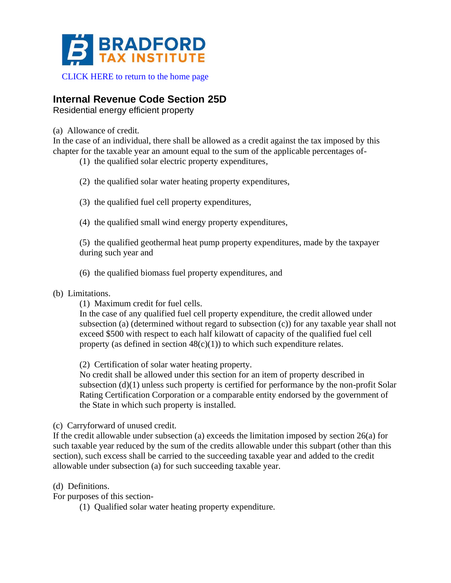

[CLICK HERE to return to the home page](https://www.bradfordtaxinstitute.com)

## **Internal Revenue Code Section 25D**

Residential energy efficient property

(a) Allowance of credit.

In the case of an individual, there shall be allowed as a credit against the tax imposed by this chapter for the taxable year an amount equal to the sum of the applicable percentages of-

- (1) the qualified solar electric property expenditures,
- (2) the qualified solar water heating property expenditures,
- (3) the qualified fuel cell property expenditures,
- (4) the qualified small wind energy property expenditures,

(5) the qualified geothermal heat pump property expenditures, made by the taxpayer during such year and

- (6) the qualified biomass fuel property expenditures, and
- (b) Limitations.
	- (1) Maximum credit for fuel cells.

In the case of any qualified fuel cell property expenditure, the credit allowed under subsection (a) (determined without regard to subsection (c)) for any taxable year shall not exceed \$500 with respect to each half kilowatt of capacity of the qualified fuel cell property (as defined in section  $48(c)(1)$ ) to which such expenditure relates.

(2) Certification of solar water heating property.

No credit shall be allowed under this section for an item of property described in subsection (d)(1) unless such property is certified for performance by the non-profit Solar Rating Certification Corporation or a comparable entity endorsed by the government of the State in which such property is installed.

(c) Carryforward of unused credit.

If the credit allowable under subsection (a) exceeds the limitation imposed by section 26(a) for such taxable year reduced by the sum of the credits allowable under this subpart (other than this section), such excess shall be carried to the succeeding taxable year and added to the credit allowable under subsection (a) for such succeeding taxable year.

(d) Definitions.

For purposes of this section-

(1) Qualified solar water heating property expenditure.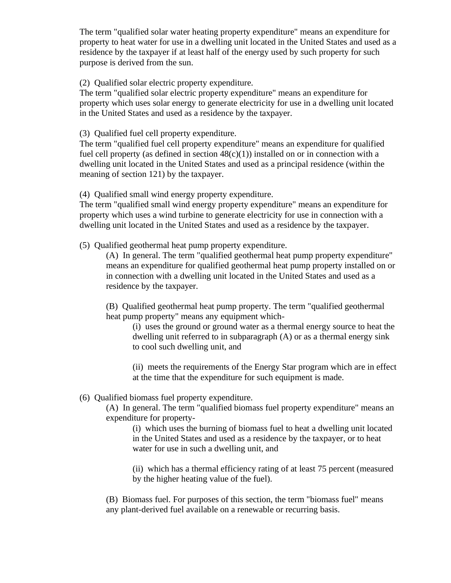The term "qualified solar water heating property expenditure" means an expenditure for property to heat water for use in a dwelling unit located in the United States and used as a residence by the taxpayer if at least half of the energy used by such property for such purpose is derived from the sun.

(2) Qualified solar electric property expenditure.

The term "qualified solar electric property expenditure" means an expenditure for property which uses solar energy to generate electricity for use in a dwelling unit located in the United States and used as a residence by the taxpayer.

(3) Qualified fuel cell property expenditure.

The term "qualified fuel cell property expenditure" means an expenditure for qualified fuel cell property (as defined in section  $48(c)(1)$ ) installed on or in connection with a dwelling unit located in the United States and used as a principal residence (within the meaning of section 121) by the taxpayer.

(4) Qualified small wind energy property expenditure.

The term "qualified small wind energy property expenditure" means an expenditure for property which uses a wind turbine to generate electricity for use in connection with a dwelling unit located in the United States and used as a residence by the taxpayer.

(5) Qualified geothermal heat pump property expenditure.

(A) In general. The term "qualified geothermal heat pump property expenditure" means an expenditure for qualified geothermal heat pump property installed on or in connection with a dwelling unit located in the United States and used as a residence by the taxpayer.

(B) Qualified geothermal heat pump property. The term "qualified geothermal heat pump property" means any equipment which-

(i) uses the ground or ground water as a thermal energy source to heat the dwelling unit referred to in subparagraph (A) or as a thermal energy sink to cool such dwelling unit, and

(ii) meets the requirements of the Energy Star program which are in effect at the time that the expenditure for such equipment is made.

## (6) Qualified biomass fuel property expenditure.

(A) In general. The term "qualified biomass fuel property expenditure" means an expenditure for property-

(i) which uses the burning of biomass fuel to heat a dwelling unit located in the United States and used as a residence by the taxpayer, or to heat water for use in such a dwelling unit, and

(ii) which has a thermal efficiency rating of at least 75 percent (measured by the higher heating value of the fuel).

(B) Biomass fuel. For purposes of this section, the term "biomass fuel" means any plant-derived fuel available on a renewable or recurring basis.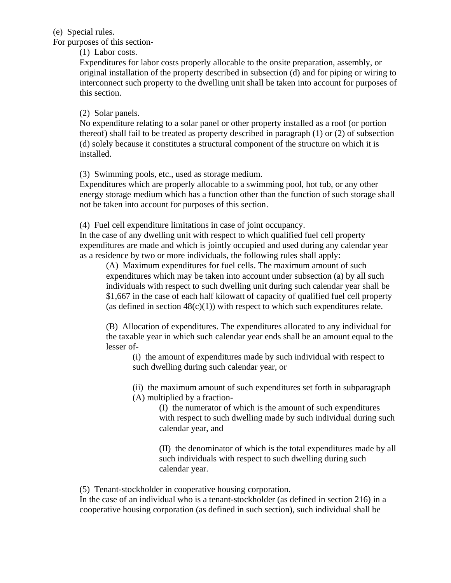(e) Special rules.

For purposes of this section-

(1) Labor costs.

Expenditures for labor costs properly allocable to the onsite preparation, assembly, or original installation of the property described in subsection (d) and for piping or wiring to interconnect such property to the dwelling unit shall be taken into account for purposes of this section.

(2) Solar panels.

No expenditure relating to a solar panel or other property installed as a roof (or portion thereof) shall fail to be treated as property described in paragraph (1) or (2) of subsection (d) solely because it constitutes a structural component of the structure on which it is installed.

(3) Swimming pools, etc., used as storage medium.

Expenditures which are properly allocable to a swimming pool, hot tub, or any other energy storage medium which has a function other than the function of such storage shall not be taken into account for purposes of this section.

(4) Fuel cell expenditure limitations in case of joint occupancy.

In the case of any dwelling unit with respect to which qualified fuel cell property expenditures are made and which is jointly occupied and used during any calendar year as a residence by two or more individuals, the following rules shall apply:

(A) Maximum expenditures for fuel cells. The maximum amount of such expenditures which may be taken into account under subsection (a) by all such individuals with respect to such dwelling unit during such calendar year shall be \$1,667 in the case of each half kilowatt of capacity of qualified fuel cell property (as defined in section  $48(c)(1)$ ) with respect to which such expenditures relate.

(B) Allocation of expenditures. The expenditures allocated to any individual for the taxable year in which such calendar year ends shall be an amount equal to the lesser of-

(i) the amount of expenditures made by such individual with respect to such dwelling during such calendar year, or

(ii) the maximum amount of such expenditures set forth in subparagraph (A) multiplied by a fraction-

> (I) the numerator of which is the amount of such expenditures with respect to such dwelling made by such individual during such calendar year, and

> (II) the denominator of which is the total expenditures made by all such individuals with respect to such dwelling during such calendar year.

(5) Tenant-stockholder in cooperative housing corporation.

In the case of an individual who is a tenant-stockholder (as defined in section 216) in a cooperative housing corporation (as defined in such section), such individual shall be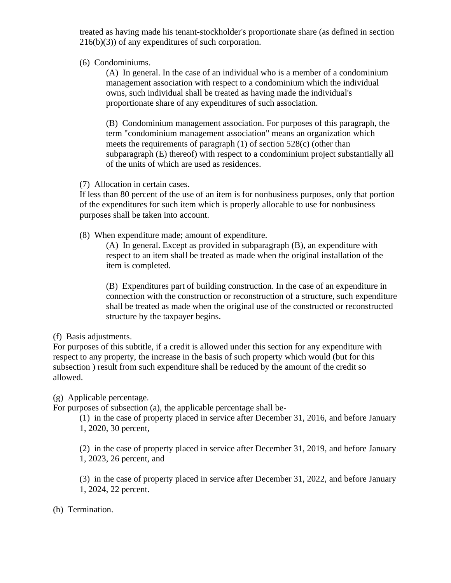treated as having made his tenant-stockholder's proportionate share (as defined in section 216(b)(3)) of any expenditures of such corporation.

(6) Condominiums.

(A) In general. In the case of an individual who is a member of a condominium management association with respect to a condominium which the individual owns, such individual shall be treated as having made the individual's proportionate share of any expenditures of such association.

(B) Condominium management association. For purposes of this paragraph, the term "condominium management association" means an organization which meets the requirements of paragraph (1) of section 528(c) (other than subparagraph (E) thereof) with respect to a condominium project substantially all of the units of which are used as residences.

(7) Allocation in certain cases.

If less than 80 percent of the use of an item is for nonbusiness purposes, only that portion of the expenditures for such item which is properly allocable to use for nonbusiness purposes shall be taken into account.

(8) When expenditure made; amount of expenditure.

(A) In general. Except as provided in subparagraph (B), an expenditure with respect to an item shall be treated as made when the original installation of the item is completed.

(B) Expenditures part of building construction. In the case of an expenditure in connection with the construction or reconstruction of a structure, such expenditure shall be treated as made when the original use of the constructed or reconstructed structure by the taxpayer begins.

(f) Basis adjustments.

For purposes of this subtitle, if a credit is allowed under this section for any expenditure with respect to any property, the increase in the basis of such property which would (but for this subsection ) result from such expenditure shall be reduced by the amount of the credit so allowed.

(g) Applicable percentage.

For purposes of subsection (a), the applicable percentage shall be-

(1) in the case of property placed in service after December 31, 2016, and before January 1, 2020, 30 percent,

(2) in the case of property placed in service after December 31, 2019, and before January 1, 2023, 26 percent, and

(3) in the case of property placed in service after December 31, 2022, and before January 1, 2024, 22 percent.

(h) Termination.